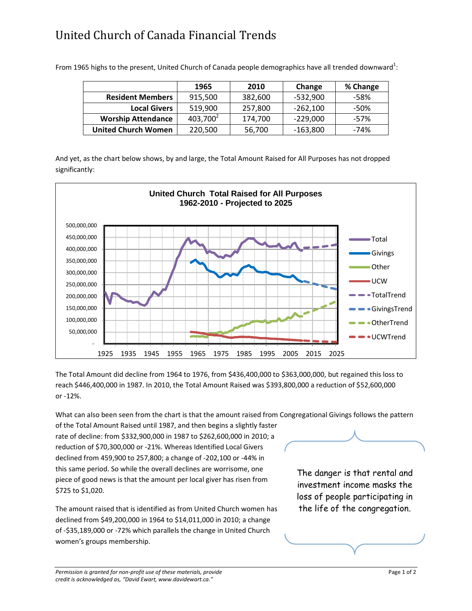## United Church of Canada Financial Trends

|                            | 1965        | 2010    | Change     | % Change |
|----------------------------|-------------|---------|------------|----------|
| <b>Resident Members</b>    | 915,500     | 382,600 | $-532,900$ | -58%     |
| <b>Local Givers</b>        | 519,900     | 257,800 | $-262,100$ | -50%     |
| <b>Worship Attendance</b>  | $403,700^2$ | 174,700 | $-229,000$ | $-57%$   |
| <b>United Church Women</b> | 220,500     | 56,700  | $-163,800$ | $-74%$   |

From 1965 highs to the present, United Church of Canada people demographics have all trended downward $^{1}$ :

And yet, as the chart below shows, by and large, the Total Amount Raised for All Purposes has not dropped significantly:



The Total Amount did decline from 1964 to 1976, from \$436,400,000 to \$363,000,000, but regained this loss to reach \$446,400,000 in 1987. In 2010, the Total Amount Raised was \$393,800,000 a reduction of \$52,600,000 or -12%.

What can also been seen from the chart is that the amount raised from Congregational Givings follows the pattern

of the Total Amount Raised until 1987, and then begins a slightly faster rate of decline: from \$332,900,000 in 1987 to \$262,600,000 in 2010; a reduction of \$70,300,000 or -21%. Whereas Identified Local Givers declined from 459,900 to 257,800; a change of -202,100 or -44% in this same period. So while the overall declines are worrisome, one piece of good news is that the amount per local giver has risen from \$725 to \$1,020.

The amount raised that is identified as from United Church women has declined from \$49,200,000 in 1964 to \$14,011,000 in 2010; a change of -\$35,189,000 or -72% which parallels the change in United Church women's groups membership.

The danger is that rental and investment income masks the loss of people participating in the life of the congregation.